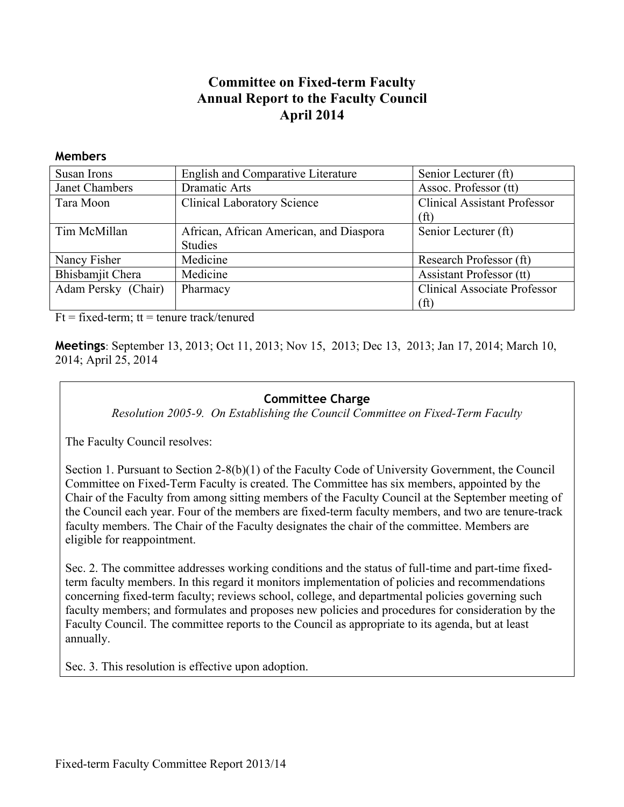# **Committee on Fixed-term Faculty Annual Report to the Faculty Council April 2014**

| Susan Irons         | <b>English and Comparative Literature</b> | Senior Lecturer (ft)                |  |
|---------------------|-------------------------------------------|-------------------------------------|--|
| Janet Chambers      | Dramatic Arts                             | Assoc. Professor (tt)               |  |
| Tara Moon           | <b>Clinical Laboratory Science</b>        | <b>Clinical Assistant Professor</b> |  |
|                     |                                           | (ft)                                |  |
| Tim McMillan        | African, African American, and Diaspora   | Senior Lecturer (ft)                |  |
|                     | <b>Studies</b>                            |                                     |  |
| Nancy Fisher        | Medicine                                  | Research Professor (ft)             |  |
| Bhisbamjit Chera    | Medicine                                  | Assistant Professor (tt)            |  |
| Adam Persky (Chair) | Pharmacy                                  | <b>Clinical Associate Professor</b> |  |
|                     |                                           | (ft)                                |  |

 $Ft = fixed-term$ ;  $tt = tenure track/tenured$ 

**Members**

**Meetings**: September 13, 2013; Oct 11, 2013; Nov 15, 2013; Dec 13, 2013; Jan 17, 2014; March 10, 2014; April 25, 2014

#### **Committee Charge**

*Resolution 2005-9. On Establishing the Council Committee on Fixed-Term Faculty*

The Faculty Council resolves:

Section 1. Pursuant to Section 2-8(b)(1) of the Faculty Code of University Government, the Council Committee on Fixed-Term Faculty is created. The Committee has six members, appointed by the Chair of the Faculty from among sitting members of the Faculty Council at the September meeting of the Council each year. Four of the members are fixed-term faculty members, and two are tenure-track faculty members. The Chair of the Faculty designates the chair of the committee. Members are eligible for reappointment.

Sec. 2. The committee addresses working conditions and the status of full-time and part-time fixedterm faculty members. In this regard it monitors implementation of policies and recommendations concerning fixed-term faculty; reviews school, college, and departmental policies governing such faculty members; and formulates and proposes new policies and procedures for consideration by the Faculty Council. The committee reports to the Council as appropriate to its agenda, but at least annually.

Sec. 3. This resolution is effective upon adoption.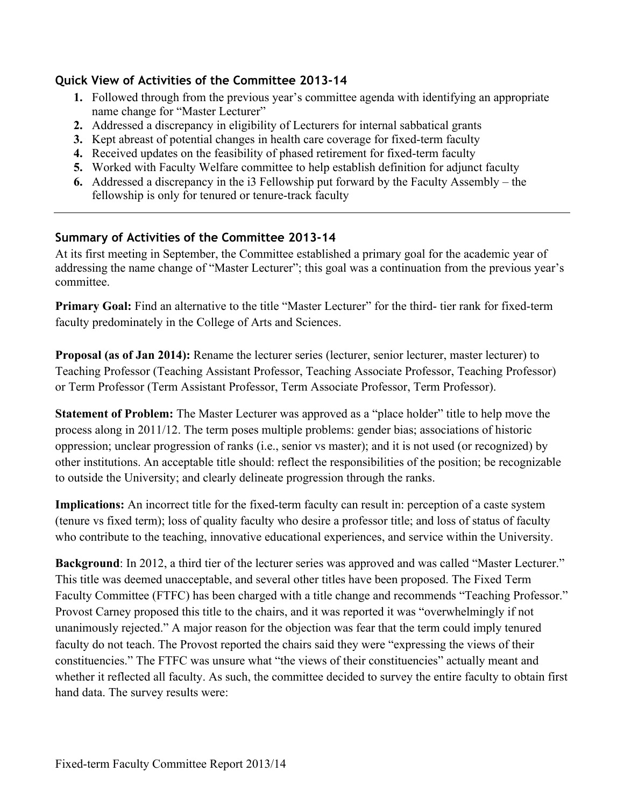#### **Quick View of Activities of the Committee 2013-14**

- **1.** Followed through from the previous year's committee agenda with identifying an appropriate name change for "Master Lecturer"
- **2.** Addressed a discrepancy in eligibility of Lecturers for internal sabbatical grants
- **3.** Kept abreast of potential changes in health care coverage for fixed-term faculty
- **4.** Received updates on the feasibility of phased retirement for fixed-term faculty
- **5.** Worked with Faculty Welfare committee to help establish definition for adjunct faculty
- **6.** Addressed a discrepancy in the i3 Fellowship put forward by the Faculty Assembly the fellowship is only for tenured or tenure-track faculty

## **Summary of Activities of the Committee 2013-14**

At its first meeting in September, the Committee established a primary goal for the academic year of addressing the name change of "Master Lecturer"; this goal was a continuation from the previous year's committee.

**Primary Goal:** Find an alternative to the title "Master Lecturer" for the third- tier rank for fixed-term faculty predominately in the College of Arts and Sciences.

**Proposal (as of Jan 2014):** Rename the lecturer series (lecturer, senior lecturer, master lecturer) to Teaching Professor (Teaching Assistant Professor, Teaching Associate Professor, Teaching Professor) or Term Professor (Term Assistant Professor, Term Associate Professor, Term Professor).

**Statement of Problem:** The Master Lecturer was approved as a "place holder" title to help move the process along in 2011/12. The term poses multiple problems: gender bias; associations of historic oppression; unclear progression of ranks (i.e., senior vs master); and it is not used (or recognized) by other institutions. An acceptable title should: reflect the responsibilities of the position; be recognizable to outside the University; and clearly delineate progression through the ranks.

**Implications:** An incorrect title for the fixed-term faculty can result in: perception of a caste system (tenure vs fixed term); loss of quality faculty who desire a professor title; and loss of status of faculty who contribute to the teaching, innovative educational experiences, and service within the University.

**Background**: In 2012, a third tier of the lecturer series was approved and was called "Master Lecturer." This title was deemed unacceptable, and several other titles have been proposed. The Fixed Term Faculty Committee (FTFC) has been charged with a title change and recommends "Teaching Professor." Provost Carney proposed this title to the chairs, and it was reported it was "overwhelmingly if not unanimously rejected." A major reason for the objection was fear that the term could imply tenured faculty do not teach. The Provost reported the chairs said they were "expressing the views of their constituencies." The FTFC was unsure what "the views of their constituencies" actually meant and whether it reflected all faculty. As such, the committee decided to survey the entire faculty to obtain first hand data. The survey results were: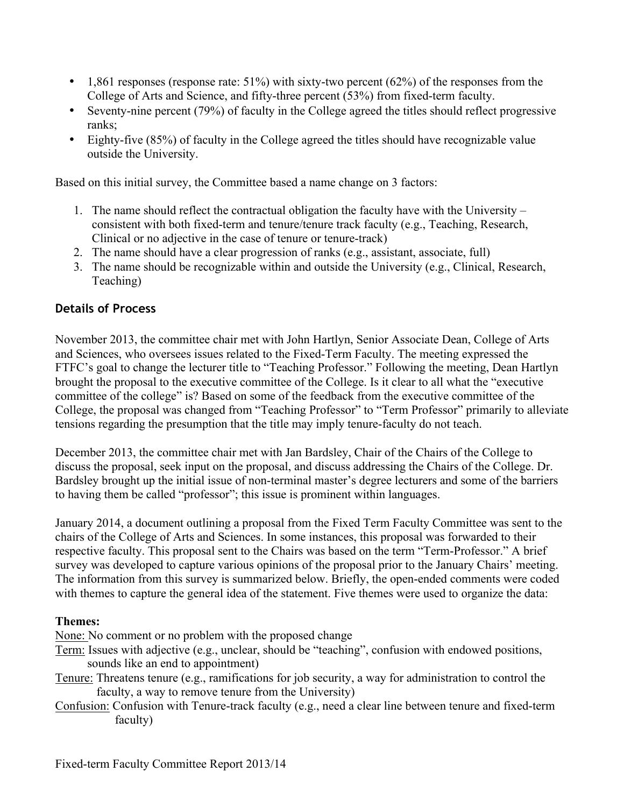- 1,861 responses (response rate:  $51\%$ ) with sixty-two percent (62%) of the responses from the College of Arts and Science, and fifty-three percent (53%) from fixed-term faculty.
- Seventy-nine percent (79%) of faculty in the College agreed the titles should reflect progressive ranks;
- Eighty-five (85%) of faculty in the College agreed the titles should have recognizable value outside the University.

Based on this initial survey, the Committee based a name change on 3 factors:

- 1. The name should reflect the contractual obligation the faculty have with the University consistent with both fixed-term and tenure/tenure track faculty (e.g., Teaching, Research, Clinical or no adjective in the case of tenure or tenure-track)
- 2. The name should have a clear progression of ranks (e.g., assistant, associate, full)
- 3. The name should be recognizable within and outside the University (e.g., Clinical, Research, Teaching)

### **Details of Process**

November 2013, the committee chair met with John Hartlyn, Senior Associate Dean, College of Arts and Sciences, who oversees issues related to the Fixed-Term Faculty. The meeting expressed the FTFC's goal to change the lecturer title to "Teaching Professor." Following the meeting, Dean Hartlyn brought the proposal to the executive committee of the College. Is it clear to all what the "executive committee of the college" is? Based on some of the feedback from the executive committee of the College, the proposal was changed from "Teaching Professor" to "Term Professor" primarily to alleviate tensions regarding the presumption that the title may imply tenure-faculty do not teach.

December 2013, the committee chair met with Jan Bardsley, Chair of the Chairs of the College to discuss the proposal, seek input on the proposal, and discuss addressing the Chairs of the College. Dr. Bardsley brought up the initial issue of non-terminal master's degree lecturers and some of the barriers to having them be called "professor"; this issue is prominent within languages.

January 2014, a document outlining a proposal from the Fixed Term Faculty Committee was sent to the chairs of the College of Arts and Sciences. In some instances, this proposal was forwarded to their respective faculty. This proposal sent to the Chairs was based on the term "Term-Professor." A brief survey was developed to capture various opinions of the proposal prior to the January Chairs' meeting. The information from this survey is summarized below. Briefly, the open-ended comments were coded with themes to capture the general idea of the statement. Five themes were used to organize the data:

#### **Themes:**

None: No comment or no problem with the proposed change

- Term: Issues with adjective (e.g., unclear, should be "teaching", confusion with endowed positions, sounds like an end to appointment)
- Tenure: Threatens tenure (e.g., ramifications for job security, a way for administration to control the faculty, a way to remove tenure from the University)
- Confusion: Confusion with Tenure-track faculty (e.g., need a clear line between tenure and fixed-term faculty)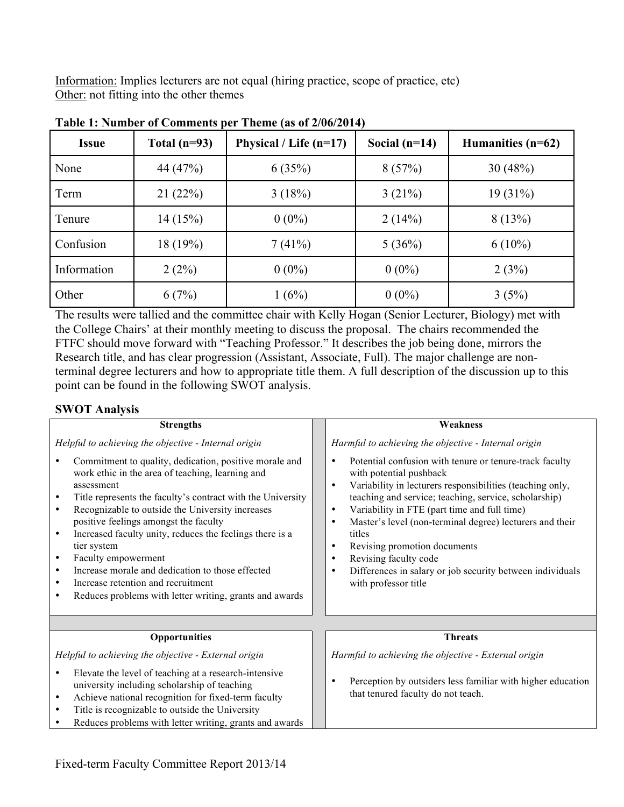Information: Implies lecturers are not equal (hiring practice, scope of practice, etc) Other: not fitting into the other themes

| <b>Issue</b> | Total $(n=93)$ | Physical / Life $(n=17)$ | Social $(n=14)$ | Humanities $(n=62)$ |
|--------------|----------------|--------------------------|-----------------|---------------------|
| None         | 44 (47%)       | 6(35%)                   | 8(57%)          | 30(48%)             |
| Term         | 21(22%)        | 3(18%)                   | 3(21%)          | $19(31\%)$          |
| Tenure       | 14(15%)        | $0(0\%)$                 | 2(14%)          | 8(13%)              |
| Confusion    | 18 (19%)       | 7(41%)                   | 5(36%)          | $6(10\%)$           |
| Information  | 2(2%)          | $0(0\%)$                 | $0(0\%)$        | 2(3%)               |
| Other        | 6(7%)          | 1(6%)                    | $0(0\%)$        | 3(5%)               |

**Table 1: Number of Comments per Theme (as of 2/06/2014)**

The results were tallied and the committee chair with Kelly Hogan (Senior Lecturer, Biology) met with the College Chairs' at their monthly meeting to discuss the proposal. The chairs recommended the FTFC should move forward with "Teaching Professor." It describes the job being done, mirrors the Research title, and has clear progression (Assistant, Associate, Full). The major challenge are nonterminal degree lecturers and how to appropriate title them. A full description of the discussion up to this point can be found in the following SWOT analysis.

#### **SWOT Analysis**

| <b>Strengths</b>                                                                                                                                                                                                                                                                                                                                                                                                                                                                                                                                                                                                                    | Weakness                                                                                                                                                                                                                                                                                                                                                                                                                                                                                                                                                                |  |  |  |
|-------------------------------------------------------------------------------------------------------------------------------------------------------------------------------------------------------------------------------------------------------------------------------------------------------------------------------------------------------------------------------------------------------------------------------------------------------------------------------------------------------------------------------------------------------------------------------------------------------------------------------------|-------------------------------------------------------------------------------------------------------------------------------------------------------------------------------------------------------------------------------------------------------------------------------------------------------------------------------------------------------------------------------------------------------------------------------------------------------------------------------------------------------------------------------------------------------------------------|--|--|--|
| Helpful to achieving the objective - Internal origin                                                                                                                                                                                                                                                                                                                                                                                                                                                                                                                                                                                | Harmful to achieving the objective - Internal origin                                                                                                                                                                                                                                                                                                                                                                                                                                                                                                                    |  |  |  |
| Commitment to quality, dedication, positive morale and<br>٠<br>work ethic in the area of teaching, learning and<br>assessment<br>Title represents the faculty's contract with the University<br>$\bullet$<br>Recognizable to outside the University increases<br>$\bullet$<br>positive feelings amongst the faculty<br>Increased faculty unity, reduces the feelings there is a<br>$\bullet$<br>tier system<br>Faculty empowerment<br>$\bullet$<br>Increase morale and dedication to those effected<br>$\bullet$<br>Increase retention and recruitment<br>$\bullet$<br>Reduces problems with letter writing, grants and awards<br>٠ | Potential confusion with tenure or tenure-track faculty<br>$\bullet$<br>with potential pushback<br>Variability in lecturers responsibilities (teaching only,<br>$\bullet$<br>teaching and service; teaching, service, scholarship)<br>Variability in FTE (part time and full time)<br>$\bullet$<br>Master's level (non-terminal degree) lecturers and their<br>$\bullet$<br>titles<br>Revising promotion documents<br>$\bullet$<br>Revising faculty code<br>$\bullet$<br>Differences in salary or job security between individuals<br>$\bullet$<br>with professor title |  |  |  |
|                                                                                                                                                                                                                                                                                                                                                                                                                                                                                                                                                                                                                                     |                                                                                                                                                                                                                                                                                                                                                                                                                                                                                                                                                                         |  |  |  |
| <b>Opportunities</b>                                                                                                                                                                                                                                                                                                                                                                                                                                                                                                                                                                                                                | <b>Threats</b>                                                                                                                                                                                                                                                                                                                                                                                                                                                                                                                                                          |  |  |  |
| Helpful to achieving the objective - External origin                                                                                                                                                                                                                                                                                                                                                                                                                                                                                                                                                                                | Harmful to achieving the objective - External origin                                                                                                                                                                                                                                                                                                                                                                                                                                                                                                                    |  |  |  |
| Elevate the level of teaching at a research-intensive<br>$\bullet$<br>university including scholarship of teaching<br>Achieve national recognition for fixed-term faculty<br>$\bullet$<br>Title is recognizable to outside the University<br>$\bullet$<br>Reduces problems with letter writing, grants and awards                                                                                                                                                                                                                                                                                                                   | Perception by outsiders less familiar with higher education<br>that tenured faculty do not teach.                                                                                                                                                                                                                                                                                                                                                                                                                                                                       |  |  |  |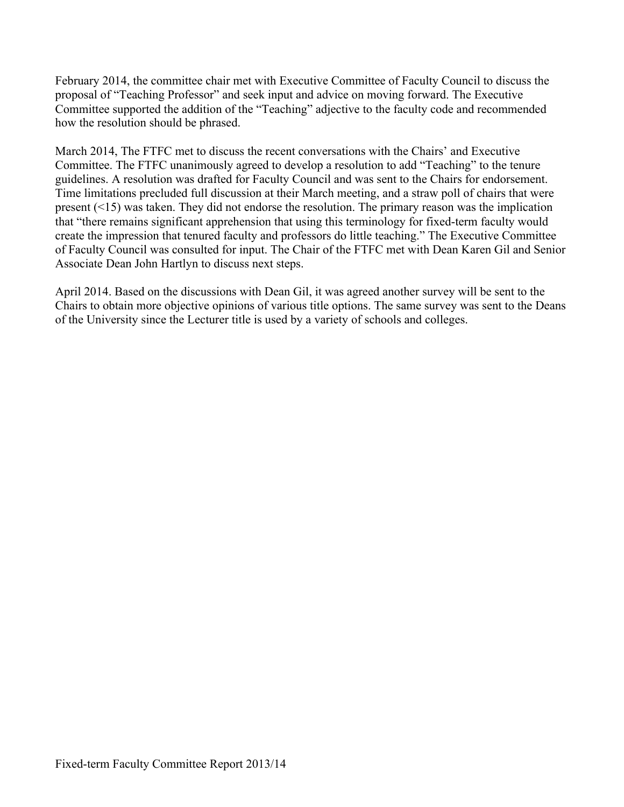February 2014, the committee chair met with Executive Committee of Faculty Council to discuss the proposal of "Teaching Professor" and seek input and advice on moving forward. The Executive Committee supported the addition of the "Teaching" adjective to the faculty code and recommended how the resolution should be phrased.

March 2014, The FTFC met to discuss the recent conversations with the Chairs' and Executive Committee. The FTFC unanimously agreed to develop a resolution to add "Teaching" to the tenure guidelines. A resolution was drafted for Faculty Council and was sent to the Chairs for endorsement. Time limitations precluded full discussion at their March meeting, and a straw poll of chairs that were present (<15) was taken. They did not endorse the resolution. The primary reason was the implication that "there remains significant apprehension that using this terminology for fixed-term faculty would create the impression that tenured faculty and professors do little teaching." The Executive Committee of Faculty Council was consulted for input. The Chair of the FTFC met with Dean Karen Gil and Senior Associate Dean John Hartlyn to discuss next steps.

April 2014. Based on the discussions with Dean Gil, it was agreed another survey will be sent to the Chairs to obtain more objective opinions of various title options. The same survey was sent to the Deans of the University since the Lecturer title is used by a variety of schools and colleges.